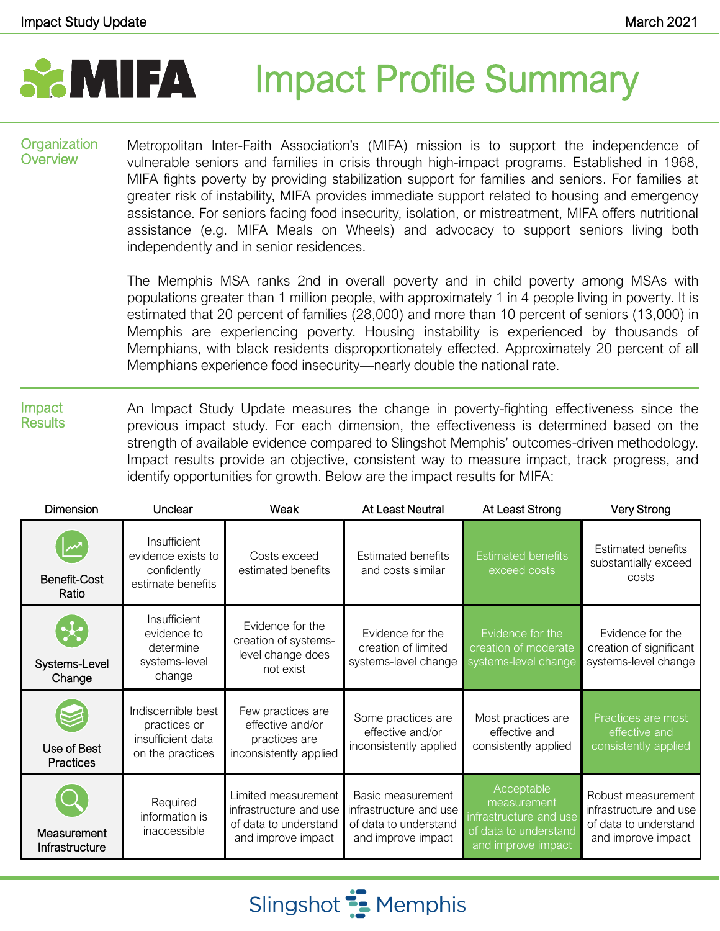# **SAMIFA** Impact Profile Summary

#### **Organization Overview**

Metropolitan Inter-Faith Association's (MIFA) mission is to support the independence of vulnerable seniors and families in crisis through high-impact programs. Established in 1968, MIFA fights poverty by providing stabilization support for families and seniors. For families at greater risk of instability, MIFA provides immediate support related to housing and emergency assistance. For seniors facing food insecurity, isolation, or mistreatment, MIFA offers nutritional assistance (e.g. MIFA Meals on Wheels) and advocacy to support seniors living both independently and in senior residences.

The Memphis MSA ranks 2nd in overall poverty and in child poverty among MSAs with populations greater than 1 million people, with approximately 1 in 4 people living in poverty. It is estimated that 20 percent of families (28,000) and more than 10 percent of seniors (13,000) in Memphis are experiencing poverty. Housing instability is experienced by thousands of Memphians, with black residents disproportionately effected. Approximately 20 percent of all Memphians experience food insecurity—nearly double the national rate.

Impact **Results** An Impact Study Update measures the change in poverty-fighting effectiveness since the previous impact study. For each dimension, the effectiveness is determined based on the strength of available evidence compared to Slingshot Memphis' outcomes-driven methodology. Impact results provide an objective, consistent way to measure impact, track progress, and identify opportunities for growth. Below are the impact results for MIFA:

| <b>Dimension</b>                        | Unclear                                                                     | Weak                                                                                         | <b>At Least Neutral</b>                                                                    | At Least Strong                                                                                    | <b>Very Strong</b>                                                                          |
|-----------------------------------------|-----------------------------------------------------------------------------|----------------------------------------------------------------------------------------------|--------------------------------------------------------------------------------------------|----------------------------------------------------------------------------------------------------|---------------------------------------------------------------------------------------------|
| <b>Benefit-Cost</b><br>Ratio            | Insufficient<br>evidence exists to<br>confidently<br>estimate benefits      | Costs exceed<br>estimated benefits                                                           | <b>Estimated benefits</b><br>and costs similar                                             | <b>Estimated benefits</b><br>exceed costs                                                          | <b>Estimated benefits</b><br>substantially exceed<br>costs                                  |
| $\mathbf{x}$<br>Systems-Level<br>Change | Insufficient<br>evidence to<br>determine<br>systems-level<br>change         | Evidence for the<br>creation of systems-<br>level change does<br>not exist                   | Evidence for the<br>creation of limited<br>systems-level change                            | Evidence for the<br>creation of moderate<br>systems-level change                                   | Evidence for the<br>creation of significant<br>systems-level change                         |
| Use of Best<br><b>Practices</b>         | Indiscernible best<br>practices or<br>insufficient data<br>on the practices | Few practices are<br>effective and/or<br>practices are<br>inconsistently applied             | Some practices are<br>effective and/or<br>inconsistently applied                           | Most practices are<br>effective and<br>consistently applied                                        | Practices are most<br>effective and<br>consistently applied                                 |
| Measurement<br>Infrastructure           | Required<br>information is<br>inaccessible                                  | Limited measurement<br>infrastructure and use<br>of data to understand<br>and improve impact | Basic measurement<br>infrastructure and use<br>of data to understand<br>and improve impact | Acceptable<br>measurement<br>infrastructure and use<br>of data to understand<br>and improve impact | Robust measurement<br>infrastructure and use<br>of data to understand<br>and improve impact |

Slingshot **:** Memphis